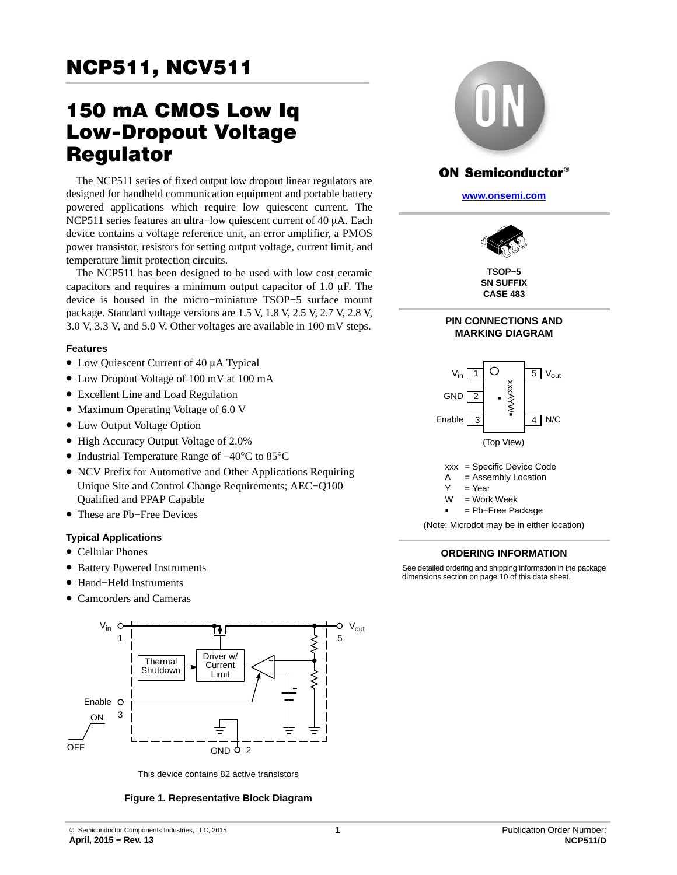# $\overline{\phantom{a}}$

# 150 mA CMOS Low Iq Requiator

The NCP511 series of fixed output low dropout linear regulators are designed for handheld communication equipment and portable battery powered applications which require low quiescent current. The NCP511 series features an ultra-low quiescent current of 40 µA. Each device contains a voltage reference unit, an error amplifier, a PMOS power transistor, resistors for setting output voltage, current limit, and temperature limit protection circuits.

The NCP511 has been designed to be used with low cost ceramic capacitors and requires a minimum output capacitor of  $1.0 \mu F$ . The device is housed in the micro−miniature TSOP−5 surface mount package. Standard voltage versions are 1.5 V, 1.8 V, 2.5 V, 2.7 V, 2.8 V, 3.0 V, 3.3 V, and 5.0 V. Other voltages are available in 100 mV steps.

#### **Features**

- Low Quiescent Current of 40 µA Typical
- Low Dropout Voltage of 100 mV at 100 mA
- Excellent Line and Load Regulation
- Maximum Operating Voltage of 6.0 V
- Low Output Voltage Option
- High Accuracy Output Voltage of 2.0%
- Industrial Temperature Range of −40°C to 85°C
- NCV Prefix for Automotive and Other Applications Requiring Unique Site and Control Change Requirements; AEC−Q100 Qualified and PPAP Capable
- These are Pb−Free Devices

#### **Typical Applications**

- Cellular Phones
- Battery Powered Instruments
- Hand−Held Instruments
- Camcorders and Cameras



This device contains 82 active transistors

#### **Figure 1. Representative Block Diagram**



#### **ON Semiconductor®**

**[www.onsemi.com]( http://www.onsemi.com/)**



**TSOP−5 SN SUFFIX CASE 483**

#### **PIN CONNECTIONS AND MARKING DIAGRAM**



-<br>-= Pb−Free Package

(Note: Microdot may be in either location)

#### **ORDERING INFORMATION**

See detailed ordering and shipping information in the package dimensions section on page [10](#page-9-0) of this data sheet.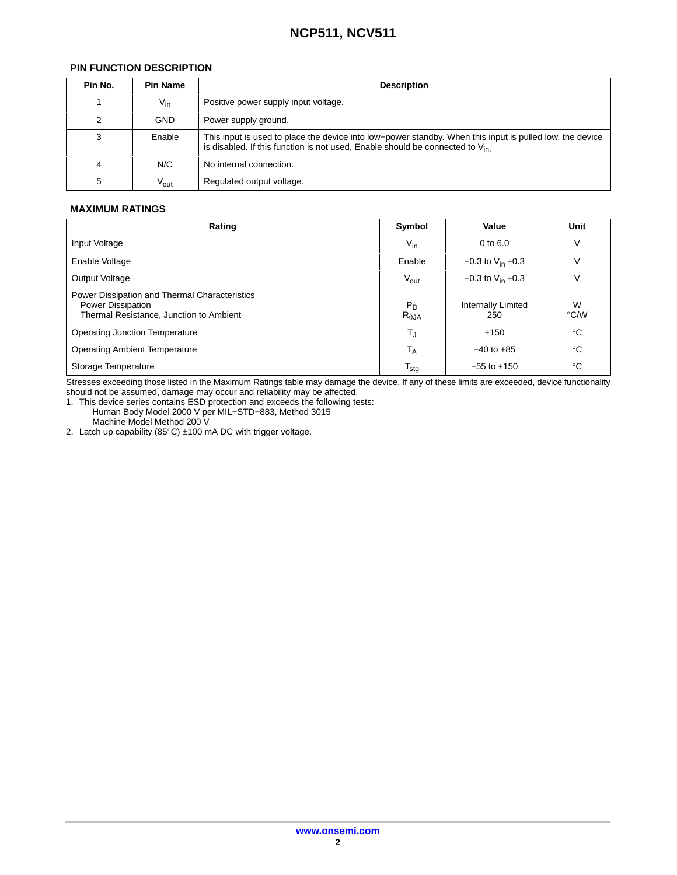#### PIN FUNCTION DESCRIPTION

| <b>PIN FUNCTION DESCRIPTION</b> |                 |                                                                                                                                                                                               |  |
|---------------------------------|-----------------|-----------------------------------------------------------------------------------------------------------------------------------------------------------------------------------------------|--|
| Pin No.                         | <b>Pin Name</b> | <b>Description</b>                                                                                                                                                                            |  |
|                                 | $V_{\text{in}}$ | Positive power supply input voltage.                                                                                                                                                          |  |
|                                 | <b>GND</b>      | Power supply ground.                                                                                                                                                                          |  |
|                                 | Enable          | This input is used to place the device into low-power standby. When this input is pulled low, the device<br>is disabled. If this function is not used, Enable should be connected to $V_{in}$ |  |
|                                 | N/C             | No internal connection.                                                                                                                                                                       |  |
|                                 | Vout            | Regulated output voltage.                                                                                                                                                                     |  |

#### **MAXIMUM RATINGS**

| Rating                                                                                                        | Symbol                   | Value                     | Unit         |
|---------------------------------------------------------------------------------------------------------------|--------------------------|---------------------------|--------------|
| Input Voltage                                                                                                 | $V_{\text{in}}$          | 0 to 6.0                  |              |
| Enable Voltage                                                                                                | Enable                   | $-0.3$ to $V_{in}$ +0.3   |              |
| Output Voltage                                                                                                | Vout                     | $-0.3$ to $V_{in}$ +0.3   |              |
| Power Dissipation and Thermal Characteristics<br>Power Dissipation<br>Thermal Resistance, Junction to Ambient | $P_D$<br>$R_{\theta JA}$ | Internally Limited<br>250 | W<br>°C/W    |
| <b>Operating Junction Temperature</b>                                                                         |                          | $+150$                    | $^{\circ}$ C |
| <b>Operating Ambient Temperature</b>                                                                          | I д                      | $-40$ to $+85$            | $^{\circ}$ C |
| Storage Temperature                                                                                           | <sup>I</sup> stg         | $-55$ to $+150$           | $^{\circ}$ C |

should not be assumed, damage may occur and reliability may be affected. Stresses exceeding those listed in the Maximum Ratings table may damage the device. If any of these limits are exceeded, device functionality

ÁÁÁÁÁ<del>LA A LE</del>XAND ELETRE ELETRE ELETRE ELETRE ELETRE ELETRE ELETRE ELETRE ELETRE ELETRE ELETRE ELETRE ELETRE ELE

ÁÁ<del>LA 1999-ben 1999-ben 1999-ben 1999-ben 1999-ben 1999-ben 1999-ben 1999-ben 1999-ben 1999-ben 1999-ben 1999-ben 19</del>

ÁÁ<del>LA 1999-ben 1999-ben 1999-ben 1999-ben 1999-ben 1999-ben 1999-ben 1999-ben 1999-ben 1999-ben 1999-ben 1999-ben 1</del>

Á A 1990-ben a szerepelt a között a között a között a között a között a között a között a között a között a kö

1. This device series contains ESD protection and exceeds the following tests: Human Body Model 2000 V per MIL−STD−883, Method 3015

Machine Model Method 200 V

2. Latch up capability  $(85^{\circ}C) \pm 100$  mA DC with trigger voltage.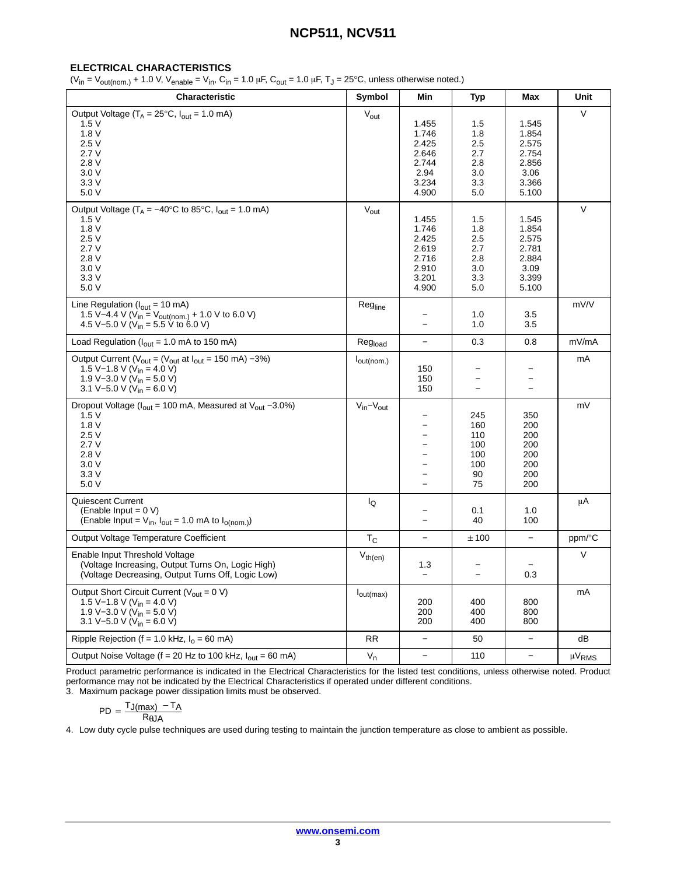#### **ELECTRICAL CHARACTERISTICS**

 $(V_{\text{in}} = V_{\text{out}(\text{nom.})} + 1.0 \text{ V}, V_{\text{enable}} = V_{\text{in}}$ ,  $C_{\text{in}} = 1.0 \mu\text{F}, C_{\text{out}} = 1.0 \mu\text{F}, T_{\text{J}} = 25^{\circ}\text{C}$ , unless otherwise noted.)

| Characteristic                                                                                                                                                                                                   | Symbol                        | Min                                                                  | <b>Typ</b>                                               | Max                                                                 | Unit              |
|------------------------------------------------------------------------------------------------------------------------------------------------------------------------------------------------------------------|-------------------------------|----------------------------------------------------------------------|----------------------------------------------------------|---------------------------------------------------------------------|-------------------|
| Output Voltage $(T_A = 25^{\circ}C, I_{out} = 1.0 \text{ mA})$<br>1.5V<br>1.8V<br>2.5V<br>2.7V<br>2.8V<br>3.0V<br>3.3V<br>5.0 V                                                                                  | $V_{\text{out}}$              | 1.455<br>1.746<br>2.425<br>2.646<br>2.744<br>2.94<br>3.234<br>4.900  | $1.5\,$<br>1.8<br>2.5<br>2.7<br>2.8<br>3.0<br>3.3<br>5.0 | 1.545<br>1.854<br>2.575<br>2.754<br>2.856<br>3.06<br>3.366<br>5.100 | V                 |
| Output Voltage ( $T_A = -40^{\circ}$ C to 85°C, $I_{out} = 1.0$ mA)<br>1.5V<br>1.8V<br>2.5V<br>2.7V<br>2.8V<br>3.0V<br>3.3V<br>5.0 V                                                                             | $V_{\text{out}}$              | 1.455<br>1.746<br>2.425<br>2.619<br>2.716<br>2.910<br>3.201<br>4.900 | 1.5<br>1.8<br>2.5<br>2.7<br>2.8<br>3.0<br>3.3<br>5.0     | 1.545<br>1.854<br>2.575<br>2.781<br>2.884<br>3.09<br>3.399<br>5.100 | V                 |
| Line Regulation ( $I_{out}$ = 10 mA)<br>1.5 V-4.4 V (V <sub>in</sub> = V <sub>out(nom.)</sub> + 1.0 V to 6.0 V)<br>4.5 V-5.0 V (V <sub>in</sub> = 5.5 V to 6.0 V)                                                | Regline                       | $\overline{\phantom{0}}$                                             | 1.0<br>1.0                                               | 3.5<br>3.5                                                          | mV/V              |
| Load Regulation ( $I_{out}$ = 1.0 mA to 150 mA)                                                                                                                                                                  | Reg <sub>load</sub>           | $\qquad \qquad -$                                                    | 0.3                                                      | 0.8                                                                 | mV/mA             |
| Output Current ( $V_{\text{out}} = (V_{\text{out}} \text{ at } I_{\text{out}} = 150 \text{ mA}) - 3\%)$<br>1.5 V-1.8 V ( $V_{in}$ = 4.0 V)<br>1.9 V-3.0 V ( $V_{in}$ = 5.0 V)<br>3.1 V-5.0 V ( $V_{in} = 6.0$ V) | $I_{\text{out}(\text{nom.})}$ | 150<br>150<br>150                                                    | $\overline{\phantom{0}}$                                 |                                                                     | mA                |
| Dropout Voltage ( $I_{out}$ = 100 mA, Measured at $V_{out}$ -3.0%)<br>1.5V<br>1.8V<br>2.5V<br>2.7V<br>2.8V<br>3.0V<br>3.3V<br>5.0 V                                                                              | $V_{in} - V_{out}$            | -<br>-                                                               | 245<br>160<br>110<br>100<br>100<br>100<br>90<br>75       | 350<br>200<br>200<br>200<br>200<br>200<br>200<br>200                | mV                |
| <b>Quiescent Current</b><br>(Enable Input = $0 V$ )<br>(Enable Input = $V_{in}$ , $I_{out}$ = 1.0 mA to $I_{o(nom.)}$ )                                                                                          | lQ                            |                                                                      | 0.1<br>40                                                | 1.0<br>100                                                          | μA                |
| Output Voltage Temperature Coefficient                                                                                                                                                                           | $T_{\rm C}$                   | —                                                                    | ±100                                                     |                                                                     | ppm/°C            |
| Enable Input Threshold Voltage<br>(Voltage Increasing, Output Turns On, Logic High)<br>(Voltage Decreasing, Output Turns Off, Logic Low)                                                                         | $V_{th(en)}$                  | 1.3<br>$\overline{\phantom{m}}$                                      | $\overline{\phantom{m}}$                                 | 0.3                                                                 | V                 |
| Output Short Circuit Current ( $V_{\text{out}} = 0 V$ )<br>1.5 V-1.8 V (V <sub>in</sub> = 4.0 V)<br>1.9 V-3.0 V ( $V_{in}$ = 5.0 V)<br>3.1 V-5.0 V (V <sub>in</sub> = 6.0 V)                                     | $I_{out(max)}$                | 200<br>200<br>200                                                    | 400<br>400<br>400                                        | 800<br>800<br>800                                                   | mA                |
| Ripple Rejection (f = 1.0 kHz, $I_0$ = 60 mA)                                                                                                                                                                    | RR                            | $\qquad \qquad -$                                                    | 50                                                       | $\qquad \qquad -$                                                   | dB                |
| Output Noise Voltage ( $f = 20$ Hz to 100 kHz, $I_{out} = 60$ mA)                                                                                                                                                | $V_n$                         | -                                                                    | 110                                                      | $\qquad \qquad -$                                                   | µV <sub>RMS</sub> |

Product parametric performance is indicated in the Electrical Characteristics for the listed test conditions, unless otherwise noted. Product performance may not be indicated by the Electrical Characteristics if operated under different conditions.

3. Maximum package power dissipation limits must be observed.

$$
PD = \frac{TJ(max) - T_A}{RQJA}
$$

4. Low duty cycle pulse techniques are used during testing to maintain the junction temperature as close to ambient as possible.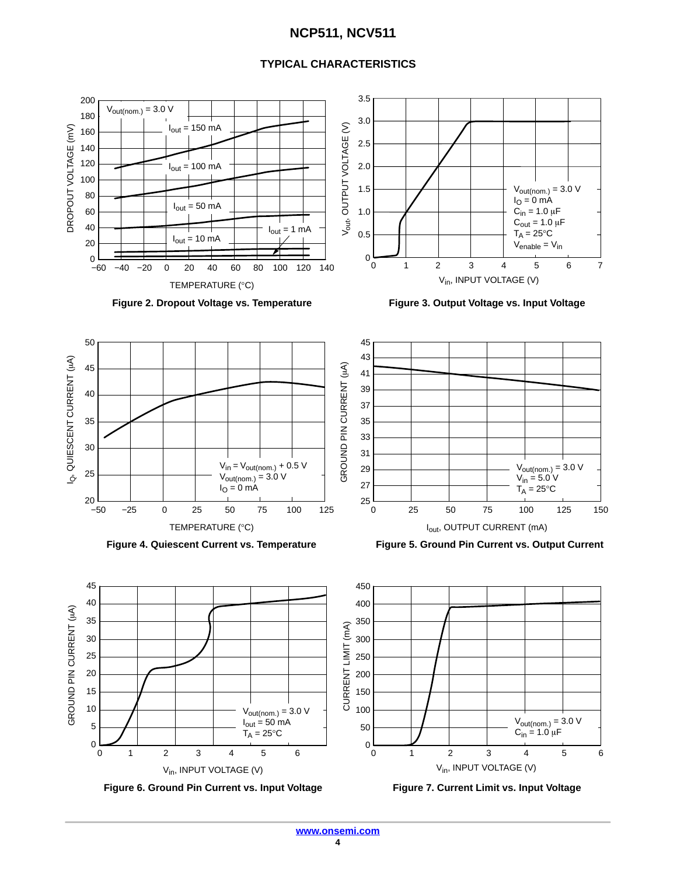#### **TYPICAL CHARACTERISTICS**









 $50$  Vout(nom.) = 3.0 V

4

 $\mathrm{C_{in}}$  = 1.0  $\mu\mathrm{F}$ 

5 6

0 3 1 2

0<br>0<br>0

100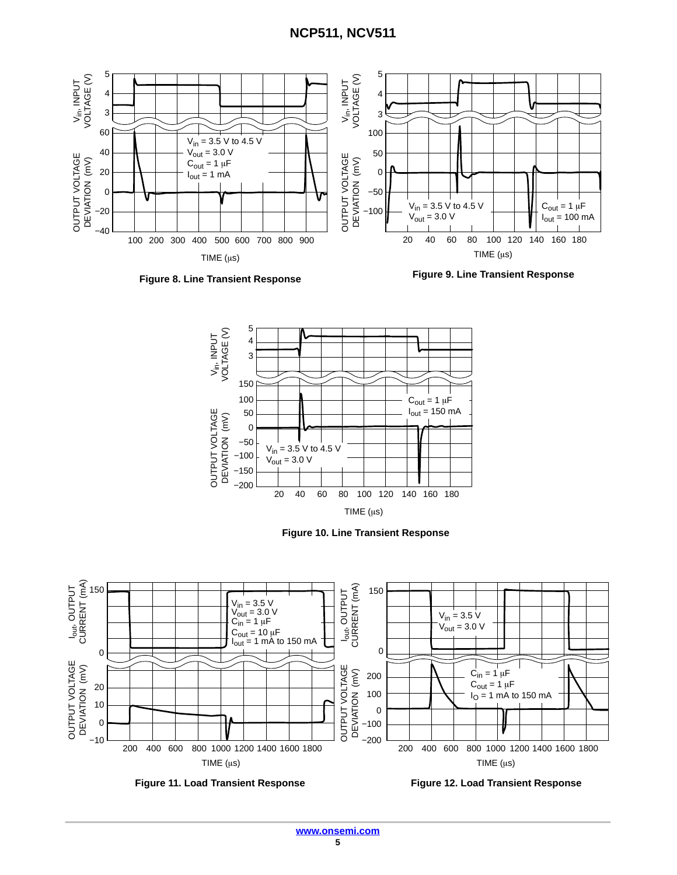



**Figure 9. Line Transient Response**



**Figure 10. Line Transient Response**



**Figure 11. Load Transient Response Figure 12. Load Transient Response**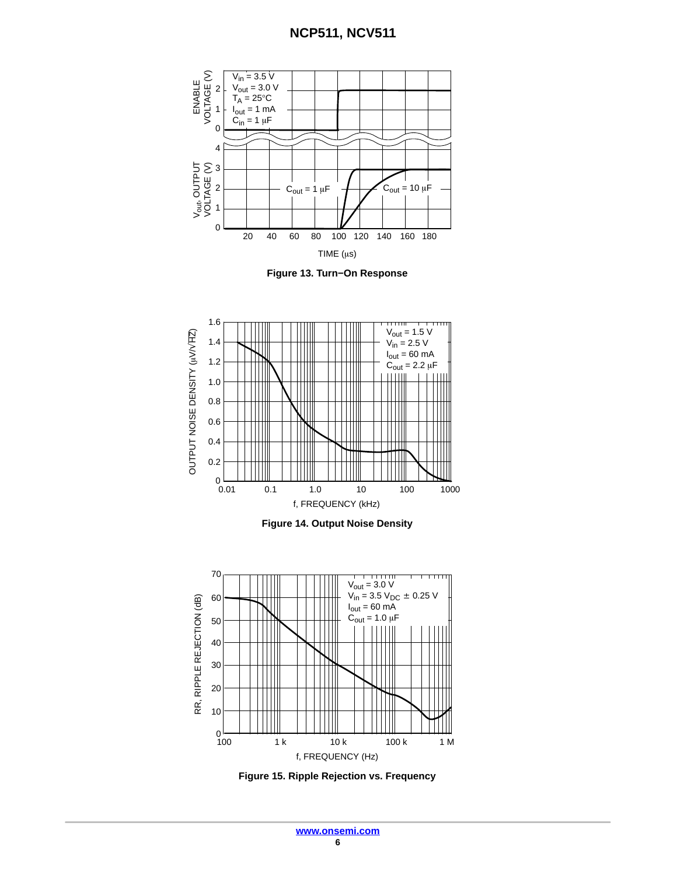









**Figure 15. Ripple Rejection vs. Frequency**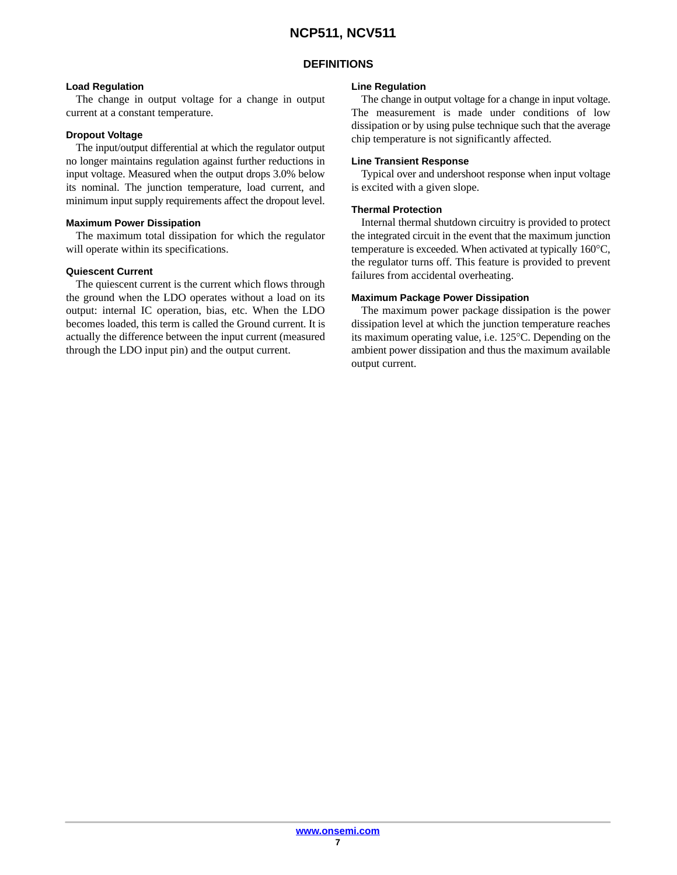#### **DEFINITIONS**

#### **Load Regulation**

The change in output voltage for a change in output current at a constant temperature.

#### **Dropout Voltage**

The input/output differential at which the regulator output no longer maintains regulation against further reductions in input voltage. Measured when the output drops 3.0% below its nominal. The junction temperature, load current, and minimum input supply requirements affect the dropout level.

#### **Maximum Power Dissipation**

The maximum total dissipation for which the regulator will operate within its specifications.

#### **Quiescent Current**

The quiescent current is the current which flows through the ground when the LDO operates without a load on its output: internal IC operation, bias, etc. When the LDO becomes loaded, this term is called the Ground current. It is actually the difference between the input current (measured through the LDO input pin) and the output current.

#### **Line Regulation**

The change in output voltage for a change in input voltage. The measurement is made under conditions of low dissipation or by using pulse technique such that the average chip temperature is not significantly affected.

#### **Line Transient Response**

Typical over and undershoot response when input voltage is excited with a given slope.

#### **Thermal Protection**

Internal thermal shutdown circuitry is provided to protect the integrated circuit in the event that the maximum junction temperature is exceeded. When activated at typically 160°C, the regulator turns off. This feature is provided to prevent failures from accidental overheating.

#### **Maximum Package Power Dissipation**

The maximum power package dissipation is the power dissipation level at which the junction temperature reaches its maximum operating value, i.e. 125°C. Depending on the ambient power dissipation and thus the maximum available output current.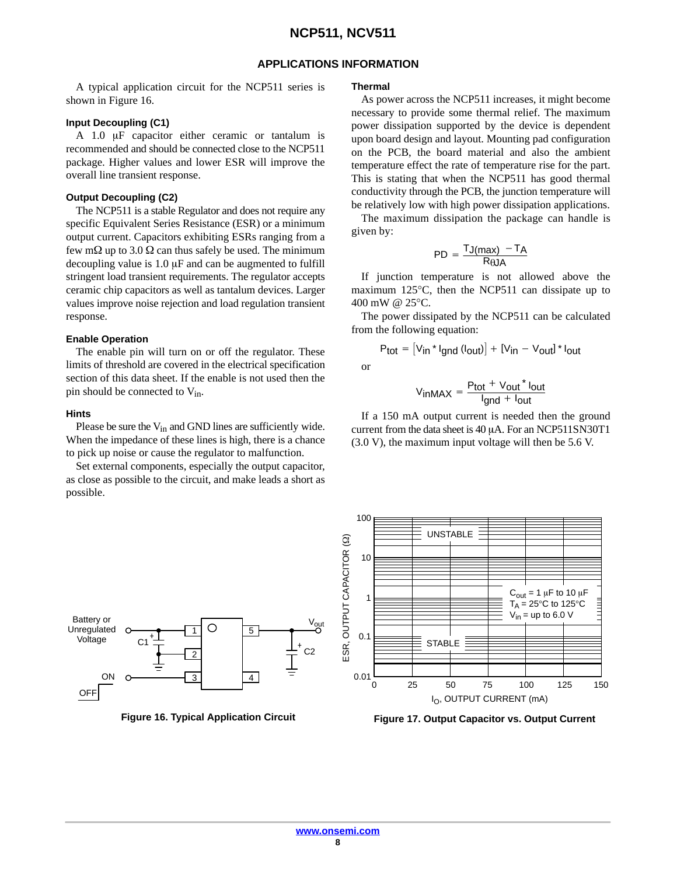#### **APPLICATIONS INFORMATION**

A typical application circuit for the NCP511 series is shown in Figure 16.

#### **Input Decoupling (C1)**

A 1.0  $\mu$ F capacitor either ceramic or tantalum is recommended and should be connected close to the NCP511 package. Higher values and lower ESR will improve the overall line transient response.

#### **Output Decoupling (C2)**

The NCP511 is a stable Regulator and does not require any specific Equivalent Series Resistance (ESR) or a minimum output current. Capacitors exhibiting ESRs ranging from a few m $\Omega$  up to 3.0  $\Omega$  can thus safely be used. The minimum decoupling value is  $1.0 \mu$ F and can be augmented to fulfill stringent load transient requirements. The regulator accepts ceramic chip capacitors as well as tantalum devices. Larger values improve noise rejection and load regulation transient response.

#### **Enable Operation**

The enable pin will turn on or off the regulator. These limits of threshold are covered in the electrical specification section of this data sheet. If the enable is not used then the pin should be connected to  $V_{in}$ .

#### **Hints**

Unregulated Voltage

OFF

ON

Please be sure the V<sub>in</sub> and GND lines are sufficiently wide. When the impedance of these lines is high, there is a chance to pick up noise or cause the regulator to malfunction.

Set external components, especially the output capacitor, as close as possible to the circuit, and make leads a short as possible.

Battery or  $V_{\text{out}}$ 

5

4

1

+

2

3



or

As power across the NCP511 increases, it might become necessary to provide some thermal relief. The maximum power dissipation supported by the device is dependent upon board design and layout. Mounting pad configuration on the PCB, the board material and also the ambient temperature effect the rate of temperature rise for the part. This is stating that when the NCP511 has good thermal conductivity through the PCB, the junction temperature will be relatively low with high power dissipation applications.

The maximum dissipation the package can handle is given by:

$$
PD = \frac{T_{J(max)} - T_A}{R_{\theta J A}}
$$

If junction temperature is not allowed above the maximum 125°C, then the NCP511 can dissipate up to 400 mW @ 25°C.

The power dissipated by the NCP511 can be calculated from the following equation:

$$
P_{tot} = [V_{in} * I_{gnd} (I_{out})] + [V_{in} - V_{out}] * I_{out}
$$

$$
V_{inMAX} = \frac{P_{tot} + V_{out} * I_{out}}{I_{gnd} + I_{out}}
$$

If a 150 mA output current is needed then the ground current from the data sheet is  $40 \mu A$ . For an NCP511SN30T1 (3.0 V), the maximum input voltage will then be 5.6 V.





**Figure 17. Output Capacitor vs. Output Current**

C2

+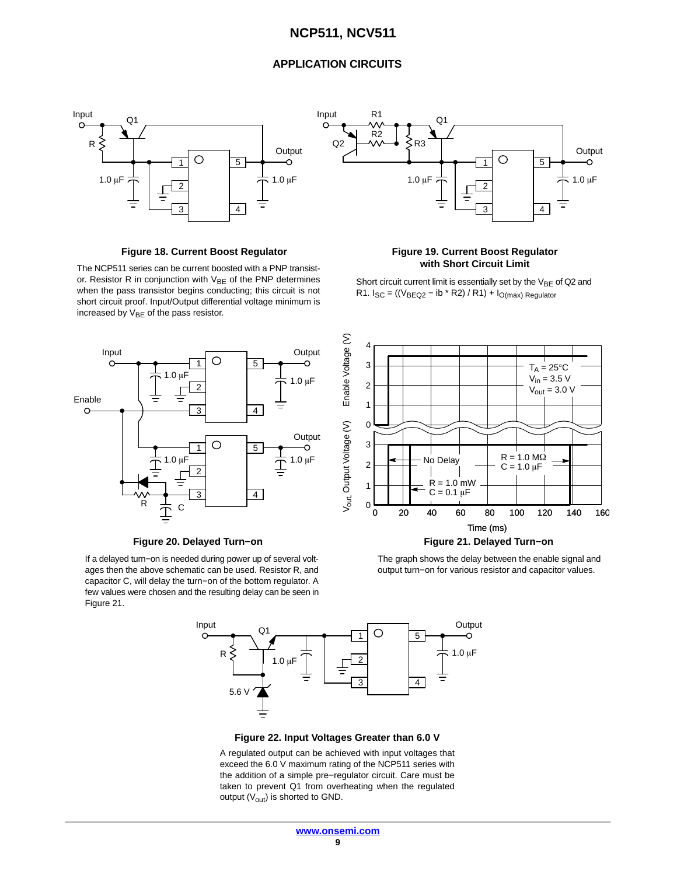#### **APPLICATION CIRCUITS**



The NCP511 series can be current boosted with a PNP transistor. Resistor R in conjunction with  $V_{BE}$  of the PNP determines when the pass transistor begins conducting; this circuit is not short circuit proof. Input/Output differential voltage minimum is increased by  $V_{BE}$  of the pass resistor.



#### **Figure 20. Delayed Turn−on Figure 21. Delayed Turn−on**

If a delayed turn−on is needed during power up of several voltages then the above schematic can be used. Resistor R, and capacitor C, will delay the turn−on of the bottom regulator. A few values were chosen and the resulting delay can be seen in Figure 21.



# **with Short Circuit Limit**

Short circuit current limit is essentially set by the  $V_{BE}$  of Q2 and R1.  $I_{SC} = ((V_{BEQ2} - ib * R2) / R1) + I_{O(max)}$  Regulator



The graph shows the delay between the enable signal and output turn−on for various resistor and capacitor values.



**Figure 22. Input Voltages Greater than 6.0 V**

A regulated output can be achieved with input voltages that exceed the 6.0 V maximum rating of the NCP511 series with the addition of a simple pre−regulator circuit. Care must be taken to prevent Q1 from overheating when the regulated output  $(V_{\text{out}})$  is shorted to GND.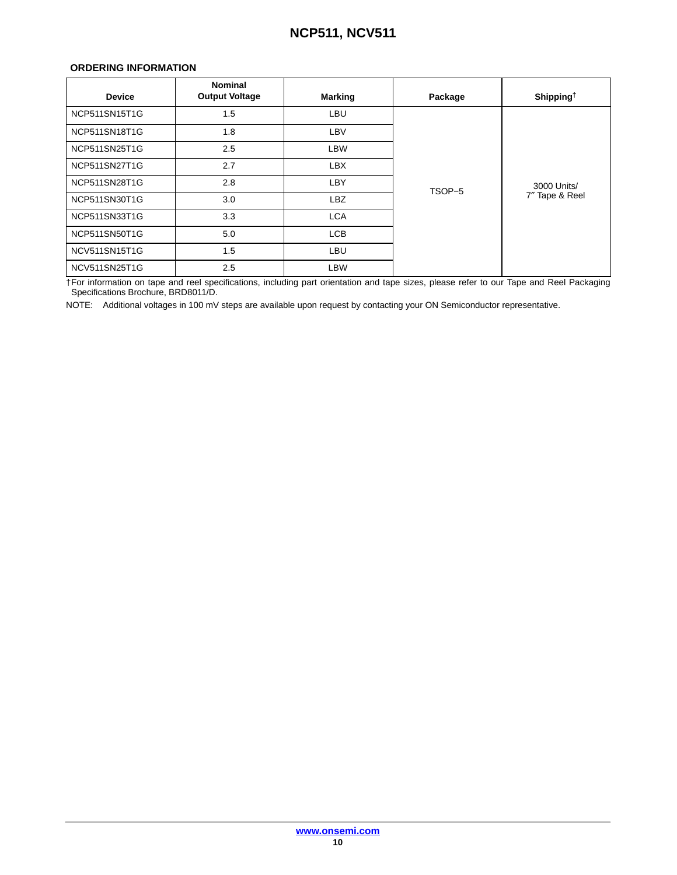#### <span id="page-9-0"></span>**ORDERING INFORMATION**

| <b>Device</b> | <b>Nominal</b><br><b>Output Voltage</b> | Marking    | Package | Shipping <sup>†</sup> |
|---------------|-----------------------------------------|------------|---------|-----------------------|
| NCP511SN15T1G | 1.5                                     | LBU        |         |                       |
| NCP511SN18T1G | 1.8                                     | LBV        |         |                       |
| NCP511SN25T1G | 2.5                                     | LBW        |         |                       |
| NCP511SN27T1G | 2.7                                     | <b>LBX</b> |         |                       |
| NCP511SN28T1G | 2.8                                     | LBY        | TSOP-5  | 3000 Units/           |
| NCP511SN30T1G | 3.0                                     | LBZ        |         | 7" Tape & Reel        |
| NCP511SN33T1G | 3.3                                     | <b>LCA</b> |         |                       |
| NCP511SN50T1G | 5.0                                     | <b>LCB</b> |         |                       |
| NCV511SN15T1G | 1.5                                     | LBU        |         |                       |
| NCV511SN25T1G | 2.5                                     | <b>LBW</b> |         |                       |

†For information on tape and reel specifications, including part orientation and tape sizes, please refer to our Tape and Reel Packaging Specifications Brochure, BRD8011/D.

NOTE: Additional voltages in 100 mV steps are available upon request by contacting your ON Semiconductor representative.